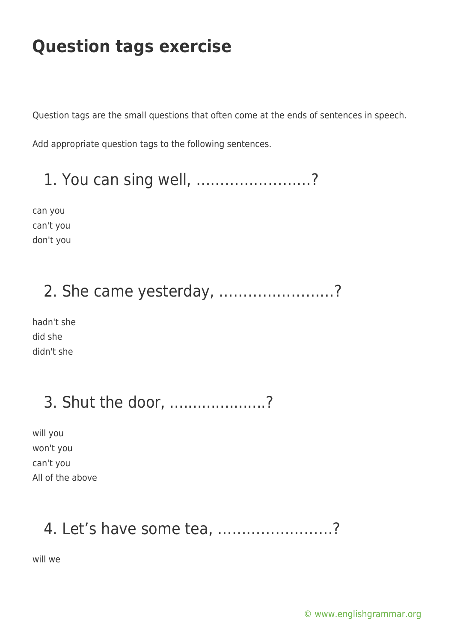Question tags are the small questions that often come at the ends of sentences in speech.

Add appropriate question tags to the following sentences.

1. You can sing well, ……………………?

can you can't you don't you

### 2. She came yesterday, ……………………?

hadn't she did she didn't she

#### 3. Shut the door, ....................?

will you won't you can't you All of the above

#### 4. Let's have some tea, ……………………?

will we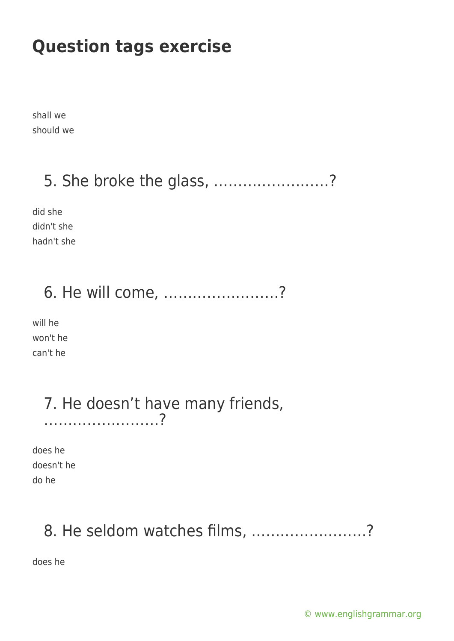shall we should we

#### 5. She broke the glass, ……………………?

did she didn't she hadn't she

#### 6. He will come, ……………………?

will he won't he can't he

#### 7. He doesn't have many friends, ……………………?

does he doesn't he do he

### 8. He seldom watches films, ……………………?

does he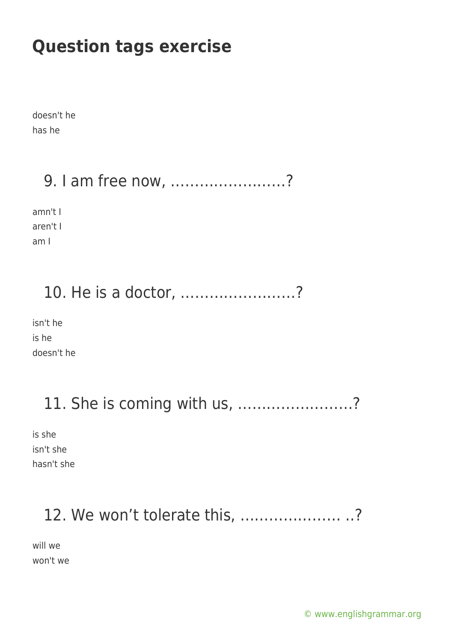doesn't he has he

#### 9. I am free now, ……………………?

amn't I aren't I am I

## 10. He is a doctor, ……………………?

isn't he is he doesn't he

#### 11. She is coming with us, ……………………?

is she isn't she hasn't she

### 12. We won't tolerate this, ………………… ..?

will we won't we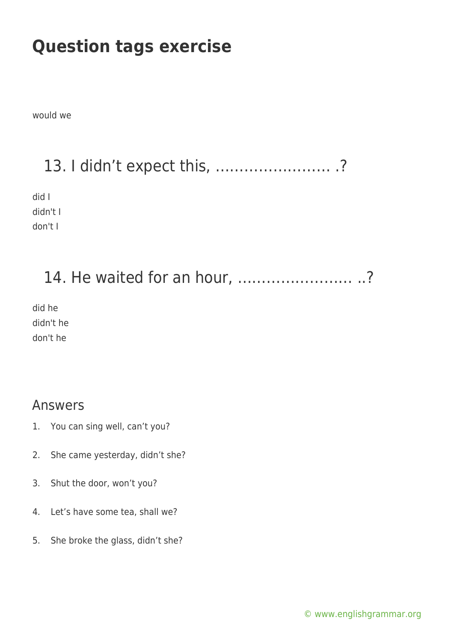would we

### 13. I didn't expect this, …………………… .?

did I didn't I don't I

#### 14. He waited for an hour, …………………… ..?

did he didn't he don't he

#### Answers

- 1. You can sing well, can't you?
- 2. She came yesterday, didn't she?
- 3. Shut the door, won't you?
- 4. Let's have some tea, shall we?
- 5. She broke the glass, didn't she?